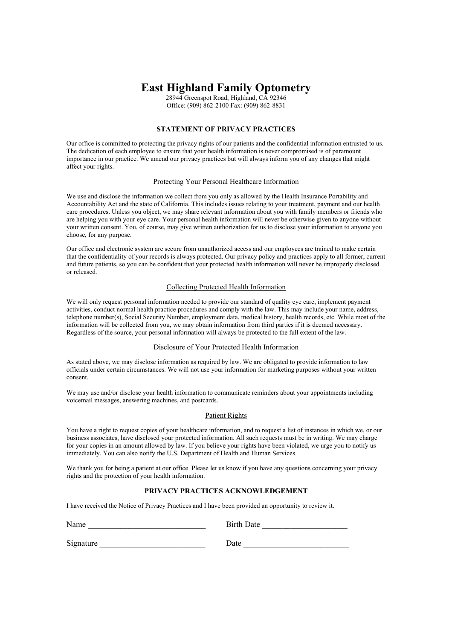# **East Highland Family Optometry**

28944 Greenspot Road; Highland, CA 92346 Office: (909) 862-2100 Fax: (909) 862-8831

# **STATEMENT OF PRIVACY PRACTICES**

Our office is committed to protecting the privacy rights of our patients and the confidential information entrusted to us. The dedication of each employee to ensure that your health information is never compromised is of paramount importance in our practice. We amend our privacy practices but will always inform you of any changes that might affect your rights.

### Protecting Your Personal Healthcare Information

We use and disclose the information we collect from you only as allowed by the Health Insurance Portability and Accountability Act and the state of California. This includes issues relating to your treatment, payment and our health care procedures. Unless you object, we may share relevant information about you with family members or friends who are helping you with your eye care. Your personal health information will never be otherwise given to anyone without your written consent. You, of course, may give written authorization for us to disclose your information to anyone you choose, for any purpose.

Our office and electronic system are secure from unauthorized access and our employees are trained to make certain that the confidentiality of your records is always protected. Our privacy policy and practices apply to all former, current and future patients, so you can be confident that your protected health information will never be improperly disclosed or released.

#### Collecting Protected Health Information

We will only request personal information needed to provide our standard of quality eye care, implement payment activities, conduct normal health practice procedures and comply with the law. This may include your name, address, telephone number(s), Social Security Number, employment data, medical history, health records, etc. While most of the information will be collected from you, we may obtain information from third parties if it is deemed necessary. Regardless of the source, your personal information will always be protected to the full extent of the law.

#### Disclosure of Your Protected Health Information

As stated above, we may disclose information as required by law. We are obligated to provide information to law officials under certain circumstances. We will not use your information for marketing purposes without your written consent.

We may use and/or disclose your health information to communicate reminders about your appointments including voicemail messages, answering machines, and postcards.

#### Patient Rights

You have a right to request copies of your healthcare information, and to request a list of instances in which we, or our business associates, have disclosed your protected information. All such requests must be in writing. We may charge for your copies in an amount allowed by law. If you believe your rights have been violated, we urge you to notify us immediately. You can also notify the U.S. Department of Health and Human Services.

We thank you for being a patient at our office. Please let us know if you have any questions concerning your privacy rights and the protection of your health information.

## **PRIVACY PRACTICES ACKNOWLEDGEMENT**

I have received the Notice of Privacy Practices and I have been provided an opportunity to review it.

Name

| <b>Birth Date</b> |  |
|-------------------|--|
|-------------------|--|

Signature Date Date